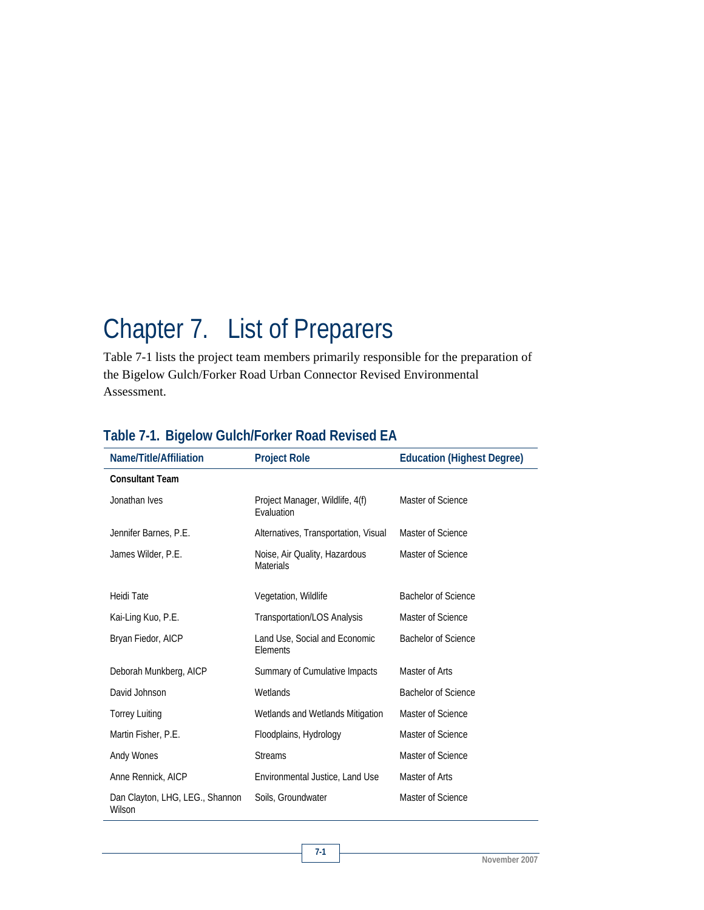## Chapter 7. List of Preparers

Table 7-1 lists the project team members primarily responsible for the preparation of the Bigelow Gulch/Forker Road Urban Connector Revised Environmental Assessment.

| Name/Title/Affiliation                    | <b>Project Role</b>                               | <b>Education (Highest Degree)</b> |
|-------------------------------------------|---------------------------------------------------|-----------------------------------|
| <b>Consultant Team</b>                    |                                                   |                                   |
| Jonathan Ives                             | Project Manager, Wildlife, 4(f)<br>Evaluation     | Master of Science                 |
| Jennifer Barnes, P.E.                     | Alternatives, Transportation, Visual              | Master of Science                 |
| James Wilder, P.E.                        | Noise, Air Quality, Hazardous<br><b>Materials</b> | Master of Science                 |
| <b>Heidi Tate</b>                         | Vegetation, Wildlife                              | <b>Bachelor of Science</b>        |
| Kai-Ling Kuo, P.E.                        | Transportation/LOS Analysis                       | Master of Science                 |
| Bryan Fiedor, AICP                        | Land Use, Social and Economic<br>Elements         | <b>Bachelor of Science</b>        |
| Deborah Munkberg, AICP                    | Summary of Cumulative Impacts                     | Master of Arts                    |
| David Johnson                             | Wetlands                                          | <b>Bachelor of Science</b>        |
| <b>Torrey Luiting</b>                     | Wetlands and Wetlands Mitigation                  | Master of Science                 |
| Martin Fisher, P.E.                       | Floodplains, Hydrology                            | Master of Science                 |
| Andy Wones                                | <b>Streams</b>                                    | Master of Science                 |
| Anne Rennick, AICP                        | Environmental Justice, Land Use                   | Master of Arts                    |
| Dan Clayton, LHG, LEG., Shannon<br>Wilson | Soils, Groundwater                                | Master of Science                 |

## **Table 7-1. Bigelow Gulch/Forker Road Revised EA**